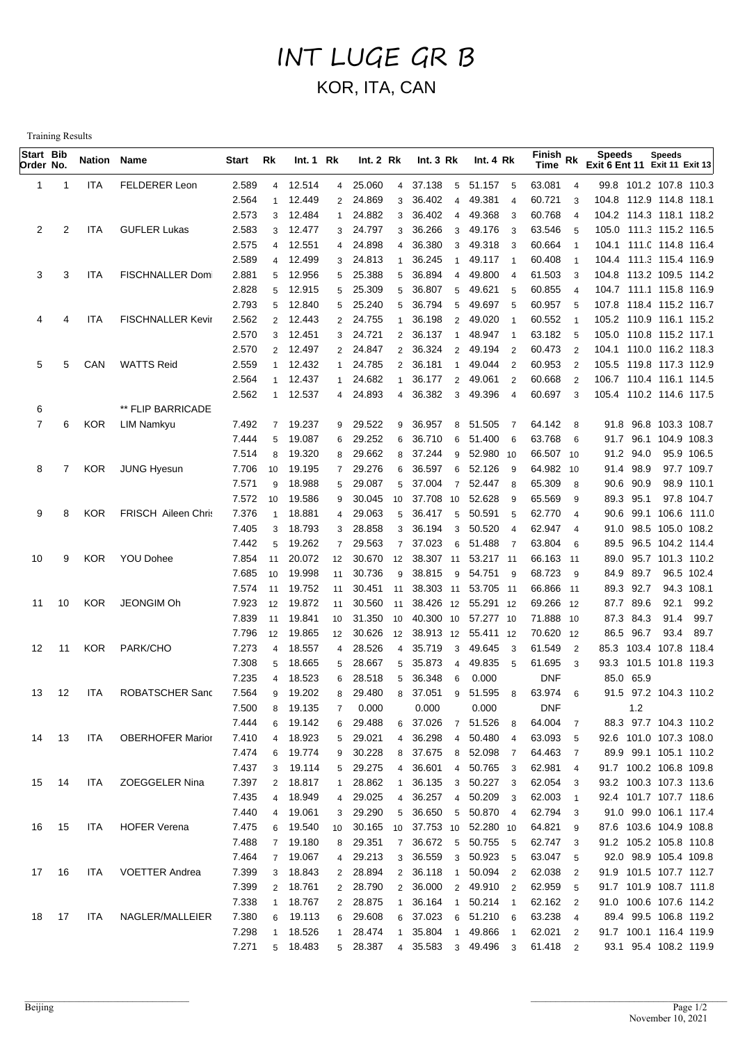## INT LUGE GR B KOR, ITA, CAN

Training Results

| Start Bib<br>Order No. |                | <b>Nation Name</b> |                          | Start          | Rk                      | Int. 1 Rk        |                | Int. 2 Rk        |                | Int.3 Rk                      | Int. 4 Rk        |                | Finish Rk<br>Time |                                  | <b>Speeds</b><br>Exit 6 Ent 11 Exit 11 Exit 13 | <b>Speeds</b> |                          |
|------------------------|----------------|--------------------|--------------------------|----------------|-------------------------|------------------|----------------|------------------|----------------|-------------------------------|------------------|----------------|-------------------|----------------------------------|------------------------------------------------|---------------|--------------------------|
| 1                      | -1             | ITA                | <b>FELDERER Leon</b>     | 2.589          | $\overline{4}$          | 12.514           | $\overline{4}$ | 25.060           | $\overline{4}$ | 37.138<br>$5^{\circ}$         | 51.157 5         |                | 63.081            | $\overline{4}$                   | 99.8 101.2 107.8 110.3                         |               |                          |
|                        |                |                    |                          | 2.564          | $\overline{1}$          | 12.449           | $\overline{2}$ | 24.869           | 3              | 36.402<br>4                   | 49.381           | $\overline{4}$ | 60.721            | 3                                | 104.8 112.9 114.8 118.1                        |               |                          |
|                        |                |                    |                          | 2.573          | 3                       | 12.484           | $\mathbf{1}$   | 24.882           | 3              | 36.402<br>4                   | 49.368           | 3              | 60.768            | $\overline{4}$                   | 104.2 114.3 118.1 118.2                        |               |                          |
| 2                      | $\overline{2}$ | ITA                | <b>GUFLER Lukas</b>      | 2.583          | 3                       | 12.477           | 3              | 24.797           | 3              | 36.266<br>3                   | 49.176           | 3              | 63.546            | 5                                | 105.0 111.3 115.2 116.5                        |               |                          |
|                        |                |                    |                          | 2.575          | $\overline{4}$          | 12.551           | $\overline{4}$ | 24.898           | $\Delta$       | 36.380<br>3                   | 49.318           | -3             | 60.664            | $\overline{1}$                   | 104.1 111.0 114.8 116.4                        |               |                          |
|                        |                |                    |                          | 2.589          | $\overline{4}$          | 12.499           | 3              | 24.813           |                | 36.245<br>$\mathbf{1}$        | 49.117           | $\overline{1}$ | 60.408            | $\overline{1}$                   | 104.4 111.3 115.4 116.9                        |               |                          |
| 3                      | 3              | <b>ITA</b>         | FISCHNALLER Dom          | 2.881          | 5                       | 12.956           | 5              | 25.388           | 5              | 36.894<br>4                   | 49.800           | $\overline{4}$ | 61.503            | 3                                | 104.8 113.2 109.5 114.2                        |               |                          |
|                        |                |                    |                          | 2.828          | 5                       | 12.915           | 5              | 25.309           | 5              | 36.807<br>5                   | 49.621           | 5              | 60.855            | $\overline{4}$                   | 104.7 111.1 115.8 116.9                        |               |                          |
|                        |                |                    |                          | 2.793          | 5                       | 12.840           | 5              | 25.240           | 5              | 36.794<br>5                   | 49.697           | 5              | 60.957            | 5                                | 107.8 118.4 115.2 116.7                        |               |                          |
| 4                      | 4              | <b>ITA</b>         | <b>FISCHNALLER Kevir</b> | 2.562          | 2                       | 12.443           | $\mathbf{2}$   | 24.755           |                | 36.198<br>$\overline{2}$      | 49.020           | -1             | 60.552            | -1                               | 105.2 110.9 116.1 115.2                        |               |                          |
|                        |                |                    |                          | 2.570          | 3                       | 12.451           | 3              | 24.721           | $\overline{2}$ | 36.137<br>$\mathbf{1}$        | 48.947           | $\overline{1}$ | 63.182            | 5                                | 105.0 110.8 115.2 117.1                        |               |                          |
|                        |                |                    |                          | 2.570          | 2                       | 12.497           |                | 2 24.847         | $\overline{2}$ | 36.324<br>$\overline{2}$      | 49.194           | $\overline{2}$ | 60.473            | $\overline{2}$                   | 104.1 110.0 116.2 118.3                        |               |                          |
| 5                      | 5              | CAN                | <b>WATTS Reid</b>        | 2.559          | $\mathbf{1}$            | 12.432           | 1              | 24.785           | $\overline{2}$ | 36.181<br>$\mathbf{1}$        | 49.044           | $\overline{2}$ | 60.953            | $\overline{2}$                   | 105.5 119.8 117.3 112.9                        |               |                          |
|                        |                |                    |                          | 2.564          | $\mathbf{1}$            | 12.437           | 1              | 24.682           |                | 36.177<br>$\overline{2}$      | 49.061           | $\overline{2}$ | 60.668            | $\overline{2}$                   | 106.7 110.4 116.1 114.5                        |               |                          |
|                        |                |                    |                          | 2.562          |                         | 1 12.537         | 4              | 24.893           | 4              | 36.382<br>3                   | 49.396           | $\overline{4}$ | 60.697            | 3                                | 105.4 110.2 114.6 117.5                        |               |                          |
| 6                      |                |                    | ** FLIP BARRICADE        |                |                         |                  |                |                  |                |                               |                  |                |                   |                                  |                                                |               |                          |
| 7                      | 6              | <b>KOR</b>         | LIM Namkyu               | 7.492          |                         | 7 19.237         | 9              | 29.522           | 9              | 36.957<br>8                   | 51.505           | $\overline{7}$ | 64.142            | 8                                | 91.8 96.8 103.3 108.7                          |               |                          |
|                        |                |                    |                          | 7.444          | 5                       | 19.087           | 6              | 29.252           | 6              | 36.710<br>6                   | 51.400           | - 6            | 63.768            | 6                                | 91.7 96.1 104.9 108.3                          |               |                          |
|                        | $\overline{7}$ | <b>KOR</b>         | <b>JUNG Hyesun</b>       | 7.514          | 8                       | 19.320           | 8              | 29.662           | 8              | 37.244<br>9                   | 52.980 10        |                | 66.507 10         |                                  | 91.2 94.0                                      |               | 95.9 106.5               |
| 8                      |                |                    |                          | 7.706          | 10                      | 19.195<br>18.988 | $\overline{7}$ | 29.276           | 6<br>5         | 36.597<br>6<br>$\overline{7}$ | 52.126           | - 9            | 64.982 10         |                                  | 91.4 98.9                                      |               | 97.7 109.7               |
|                        |                |                    |                          | 7.571          | 9<br>10                 | 19.586           | 5              | 29.087<br>30.045 | 10             | 37.004<br>37.708 10           | 52.447<br>52.628 | - 8            | 65.309            | 8                                | 90.6 90.9<br>89.3 95.1                         |               | 98.9 110.1<br>97.8 104.7 |
| 9                      | 8              | <b>KOR</b>         | FRISCH Aileen Chris      | 7.572<br>7.376 | $\overline{1}$          | 18.881           | 9              | 29.063           | 5              | 36.417                        | 50.591           | 9<br>-5        | 65.569<br>62.770  | 9                                | 90.6 99.1 106.6 111.0                          |               |                          |
|                        |                |                    |                          | 7.405          | 3                       | 18.793           | 4<br>3         | 28.858           | 3              | 5<br>36.194<br>3              | 50.520           | $\overline{4}$ | 62.947            | $\overline{4}$<br>$\overline{4}$ | 91.0 98.5 105.0 108.2                          |               |                          |
|                        |                |                    |                          | 7.442          | 5                       | 19.262           | $\overline{7}$ | 29.563           | $\overline{7}$ | 37.023<br>6                   | 51.488           | $\overline{7}$ | 63.804            | 6                                | 89.5 96.5 104.2 114.4                          |               |                          |
| 10                     | 9              | KOR.               | <b>YOU Dohee</b>         | 7.854          | 11                      | 20.072           | 12             | 30.670           | 12             | 38.307<br>11                  | 53.217 11        |                | 66.163 11         |                                  | 89.0 95.7 101.3 110.2                          |               |                          |
|                        |                |                    |                          | 7.685          | 10                      | 19.998           | 11             | 30.736           | 9              | 38.815<br>9                   | 54.751           | - 9            | 68.723            | -9                               | 84.9 89.7                                      |               | 96.5 102.4               |
|                        |                |                    |                          | 7.574          | 11                      | 19.752           | 11             | 30.451           | 11             | 38.303 11                     | 53.705 11        |                | 66.866 11         |                                  | 89.3 92.7                                      |               | 94.3 108.1               |
| 11                     | 10             | <b>KOR</b>         | JEONGIM Oh               | 7.923          | 12                      | 19.872           | 11             | 30.560           | 11             | 38.426 12 55.291 12           |                  |                | 69.266 12         |                                  | 87.7 89.6                                      | 92.1          | 99.2                     |
|                        |                |                    |                          | 7.839          | 11                      | 19.841           | 10             | 31.350 10        |                | 40.300 10 57.277 10           |                  |                | 71.888 10         |                                  | 87.3 84.3                                      | 91.4          | 99.7                     |
|                        |                |                    |                          | 7.796          | 12                      | 19.865           | 12             | 30.626           | 12             | 38.913 12 55.411 12           |                  |                | 70.620 12         |                                  | 86.5 96.7                                      | 93.4          | 89.7                     |
| 12                     | 11             | <b>KOR</b>         | PARK/CHO                 | 7.273          | $\overline{\mathbf{A}}$ | 18.557           | 4              | 28.526           | 4              | 35.719<br>3                   | 49.645           | $_{3}$         | 61.549            | $\overline{2}$                   | 85.3 103.4 107.8 118.4                         |               |                          |
|                        |                |                    |                          | 7.308          | 5                       | 18.665           | 5              | 28.667           | 5              | 35.873<br>4                   | 49.835           | 5              | 61.695            | 3                                | 93.3 101.5 101.8 119.3                         |               |                          |
|                        |                |                    |                          | 7.235          | $\overline{\mathbf{A}}$ | 18.523           | 6              | 28.518           | 5              | 36.348<br>6                   | 0.000            |                | <b>DNF</b>        |                                  | 85.0 65.9                                      |               |                          |
| 13                     | 12             | ITA                | ROBATSCHER Sanc          | 7.564          | 9                       | 19.202           | 8              | 29.480           |                | 8 37.051                      | 9 51.595         | - 8            | 63.974            | 6                                | 91.5 97.2 104.3 110.2                          |               |                          |
|                        |                |                    |                          | 7.500          | 8                       | 19.135           | $\overline{7}$ | 0.000            |                | 0.000                         | 0.000            |                | <b>DNF</b>        |                                  | 1.2                                            |               |                          |
|                        |                |                    |                          | 7.444          | 6                       | 19.142           | 6              | 29.488           |                | 6 37.026                      | 7 51.526 8       |                | 64.004 7          |                                  | 88.3 97.7 104.3 110.2                          |               |                          |
| 14                     | 13             | ITA                | <b>OBERHOFER Marior</b>  | 7.410          | $\overline{4}$          | 18.923           |                | 5 29.021         |                | 4 36.298                      | 4 50.480 4       |                | 63.093            | 5                                | 92.6 101.0 107.3 108.0                         |               |                          |
|                        |                |                    |                          | 7.474          | 6                       | 19.774           | 9              | 30.228           |                | 8 37.675                      | 8 52.098 7       |                | 64.463 7          |                                  | 89.9 99.1 105.1 110.2                          |               |                          |
|                        |                |                    |                          | 7.437          | 3                       | 19.114           | 5              | 29.275           | 4              | 36.601                        | 4 50.765 3       |                | 62.981            | $\overline{4}$                   | 91.7 100.2 106.8 109.8                         |               |                          |
| 15                     | 14             | ITA                | <b>ZOEGGELER Nina</b>    | 7.397          |                         | 2 18.817         | $\mathbf{1}$   | 28.862           | $\overline{1}$ | 36.135                        | 3 50.227 3       |                | 62.054            | -3                               | 93.2 100.3 107.3 113.6                         |               |                          |
|                        |                |                    |                          | 7.435          |                         | 4 18.949         | 4              | 29.025           | $\overline{4}$ | 36.257                        | 4 50.209 3       |                | 62.003            | $\overline{1}$                   | 92.4 101.7 107.7 118.6                         |               |                          |
|                        |                |                    |                          | 7.440          | $\overline{4}$          | 19.061           | 3              | 29.290           |                | 5 36.650                      | 5 50.870 4       |                | 62.794 3          |                                  | 91.0 99.0 106.1 117.4                          |               |                          |
| 16                     | 15             | ITA                | <b>HOFER Verena</b>      | 7.475          |                         | 6 19.540         | 10             |                  |                | 30.165 10 37.753 10 52.280 10 |                  |                | 64.821            | 9                                | 87.6 103.6 104.9 108.8                         |               |                          |
|                        |                |                    |                          | 7.488          |                         | 7 19.180         | 8              | 29.351           | $7^{\circ}$    | 36.672                        | 5 50.755 5       |                | 62.747            | 3                                | 91.2 105.2 105.8 110.8                         |               |                          |
|                        |                |                    |                          | 7.464          |                         | 7 19.067         | 4              | 29.213           | 3 <sup>7</sup> | 36.559                        | 3 50.923 5       |                | 63.047            | -5                               | 92.0 98.9 105.4 109.8                          |               |                          |
| 17                     | 16             | ITA                | <b>VOETTER Andrea</b>    | 7.399          |                         | 3 18.843         |                | 2 28.894         |                | 2 36.118<br>$\mathbf{1}$      | 50.094 2         |                | 62.038            | $\overline{2}$                   | 91.9 101.5 107.7 112.7                         |               |                          |
|                        |                |                    |                          | 7.399          |                         | 2 18.761         |                | 2 28.790         |                | 2 36.000                      | 2 49.910 2       |                | 62.959            | 5                                | 91.7 101.9 108.7 111.8                         |               |                          |
|                        |                |                    |                          | 7.338          | $\mathbf{1}$            | 18.767           |                | 2 28.875         | $\mathbf{1}$   | 36.164<br>$\mathbf{1}$        | 50.214 1         |                | 62.162            | $\overline{2}$                   | 91.0 100.6 107.6 114.2                         |               |                          |
| 18                     | 17             | ITA                | NAGLER/MALLEIER          | 7.380          | 6                       | 19.113           | 6              | 29.608           |                | 6 37.023                      | 6 51.210 6       |                | 63.238            | $\overline{4}$                   | 89.4 99.5 106.8 119.2                          |               |                          |
|                        |                |                    |                          | 7.298          | 1                       | 18.526           | 1              | 28.474           | $\mathbf{1}$   | 35.804                        | 1 49.866         | $\overline{1}$ | 62.021            | $\overline{2}$                   | 91.7 100.1 116.4 119.9                         |               |                          |
|                        |                |                    |                          | 7.271          |                         | 5 18.483         |                | 5 28.387         | $\overline{4}$ | 35.583                        | 3 49.496 3       |                | 61.418            | $\overline{2}$                   | 93.1 95.4 108.2 119.9                          |               |                          |
|                        |                |                    |                          |                |                         |                  |                |                  |                |                               |                  |                |                   |                                  |                                                |               |                          |